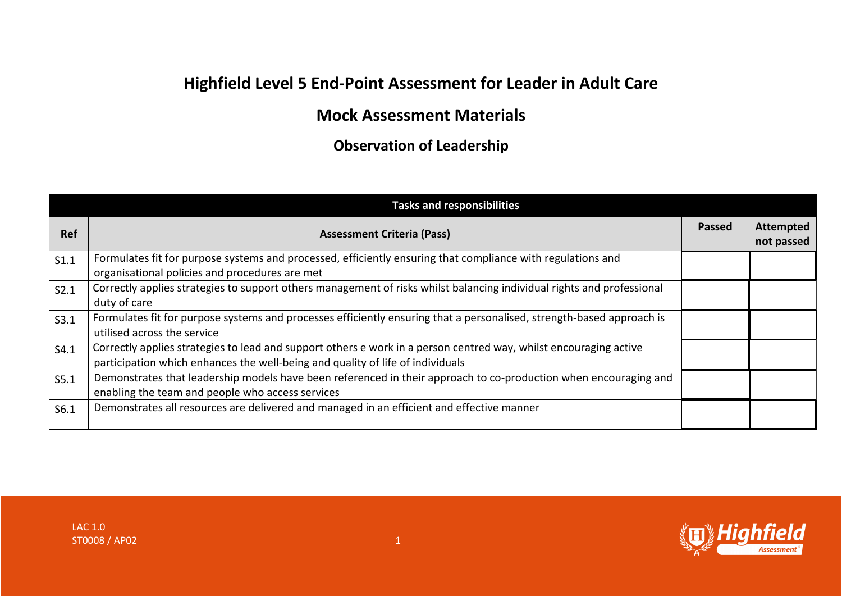## **Highfield Level 5 End-Point Assessment for Leader in Adult Care**

## **Mock Assessment Materials**

**Observation of Leadership**

| <b>Tasks and responsibilities</b> |                                                                                                                                                                                                     |               |                                |
|-----------------------------------|-----------------------------------------------------------------------------------------------------------------------------------------------------------------------------------------------------|---------------|--------------------------------|
| <b>Ref</b>                        | <b>Assessment Criteria (Pass)</b>                                                                                                                                                                   | <b>Passed</b> | <b>Attempted</b><br>not passed |
| S1.1                              | Formulates fit for purpose systems and processed, efficiently ensuring that compliance with regulations and<br>organisational policies and procedures are met                                       |               |                                |
| $\vert$ S2.1                      | Correctly applies strategies to support others management of risks whilst balancing individual rights and professional<br>duty of care                                                              |               |                                |
| S3.1                              | Formulates fit for purpose systems and processes efficiently ensuring that a personalised, strength-based approach is<br>utilised across the service                                                |               |                                |
| $\vert$ S4.1                      | Correctly applies strategies to lead and support others e work in a person centred way, whilst encouraging active<br>participation which enhances the well-being and quality of life of individuals |               |                                |
| S5.1                              | Demonstrates that leadership models have been referenced in their approach to co-production when encouraging and<br>enabling the team and people who access services                                |               |                                |
| S6.1                              | Demonstrates all resources are delivered and managed in an efficient and effective manner                                                                                                           |               |                                |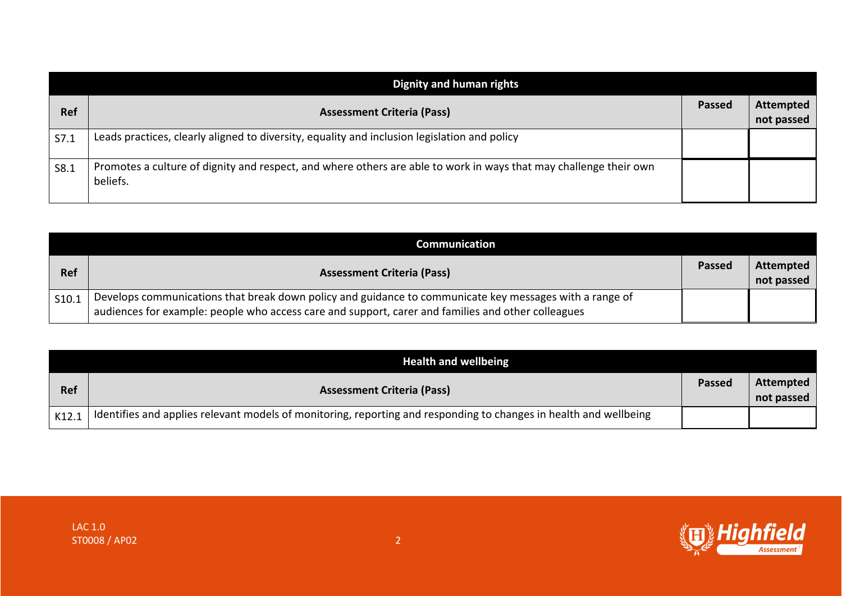| Dignity and human rights |                                                                                                                               |               |                                |
|--------------------------|-------------------------------------------------------------------------------------------------------------------------------|---------------|--------------------------------|
| Ref                      | <b>Assessment Criteria (Pass)</b>                                                                                             | <b>Passed</b> | <b>Attempted</b><br>not passed |
| S7.1                     | Leads practices, clearly aligned to diversity, equality and inclusion legislation and policy                                  |               |                                |
| S8.1                     | Promotes a culture of dignity and respect, and where others are able to work in ways that may challenge their own<br>beliefs. |               |                                |

| Communication |                                                                                                                                                                                                               |               |                         |
|---------------|---------------------------------------------------------------------------------------------------------------------------------------------------------------------------------------------------------------|---------------|-------------------------|
| <b>Ref</b>    | <b>Assessment Criteria (Pass)</b>                                                                                                                                                                             | <b>Passed</b> | Attempted<br>not passed |
| S10.1         | Develops communications that break down policy and guidance to communicate key messages with a range of<br>audiences for example: people who access care and support, carer and families and other colleagues |               |                         |

| <b>Health and wellbeing</b> |                                                                                                                   |               |                         |
|-----------------------------|-------------------------------------------------------------------------------------------------------------------|---------------|-------------------------|
| <b>Ref</b>                  | <b>Assessment Criteria (Pass)</b>                                                                                 | <b>Passed</b> | Attempted<br>not passed |
| K12.1                       | Identifies and applies relevant models of monitoring, reporting and responding to changes in health and wellbeing |               |                         |

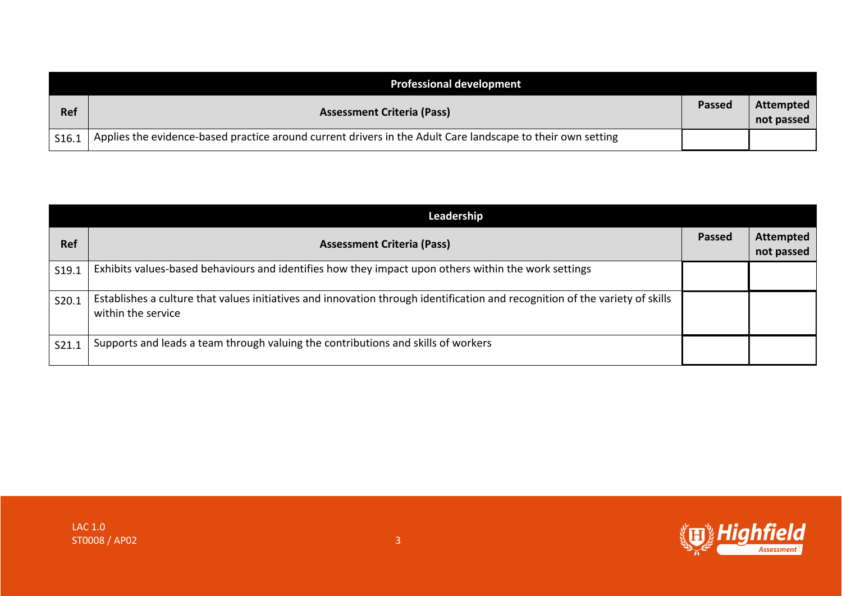| <b>Professional development</b> |                                                                                                             |               |                                |
|---------------------------------|-------------------------------------------------------------------------------------------------------------|---------------|--------------------------------|
| <b>Ref</b>                      | <b>Assessment Criteria (Pass)</b>                                                                           | <b>Passed</b> | <b>Attempted</b><br>not passed |
| $\vert$ S16.1                   | Applies the evidence-based practice around current drivers in the Adult Care landscape to their own setting |               |                                |

|       | Leadership                                                                                                                                         |               |                                |
|-------|----------------------------------------------------------------------------------------------------------------------------------------------------|---------------|--------------------------------|
| Ref   | <b>Assessment Criteria (Pass)</b>                                                                                                                  | <b>Passed</b> | <b>Attempted</b><br>not passed |
| S19.1 | Exhibits values-based behaviours and identifies how they impact upon others within the work settings                                               |               |                                |
| S20.1 | Establishes a culture that values initiatives and innovation through identification and recognition of the variety of skills<br>within the service |               |                                |
| S21.1 | Supports and leads a team through valuing the contributions and skills of workers                                                                  |               |                                |